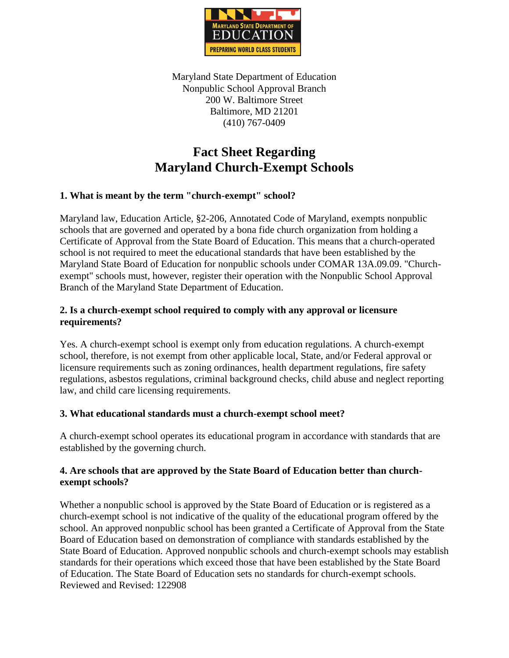

Maryland State Department of Education Nonpublic School Approval Branch 200 W. Baltimore Street Baltimore, MD 21201 (410) 767-0409

# **Fact Sheet Regarding Maryland Church-Exempt Schools**

## **1. What is meant by the term "church-exempt" school?**

Maryland law, Education Article, §2-206, Annotated Code of Maryland, exempts nonpublic schools that are governed and operated by a bona fide church organization from holding a Certificate of Approval from the State Board of Education. This means that a church-operated school is not required to meet the educational standards that have been established by the Maryland State Board of Education for nonpublic schools under COMAR 13A.09.09. "Churchexempt" schools must, however, register their operation with the Nonpublic School Approval Branch of the Maryland State Department of Education.

## **2. Is a church-exempt school required to comply with any approval or licensure requirements?**

Yes. A church-exempt school is exempt only from education regulations. A church-exempt school, therefore, is not exempt from other applicable local, State, and/or Federal approval or licensure requirements such as zoning ordinances, health department regulations, fire safety regulations, asbestos regulations, criminal background checks, child abuse and neglect reporting law, and child care licensing requirements.

#### **3. What educational standards must a church-exempt school meet?**

A church-exempt school operates its educational program in accordance with standards that are established by the governing church.

#### **4. Are schools that are approved by the State Board of Education better than churchexempt schools?**

Whether a nonpublic school is approved by the State Board of Education or is registered as a church-exempt school is not indicative of the quality of the educational program offered by the school. An approved nonpublic school has been granted a Certificate of Approval from the State Board of Education based on demonstration of compliance with standards established by the State Board of Education. Approved nonpublic schools and church-exempt schools may establish standards for their operations which exceed those that have been established by the State Board of Education. The State Board of Education sets no standards for church-exempt schools. Reviewed and Revised: 122908